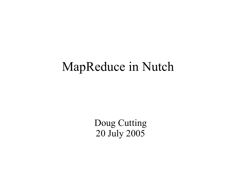#### MapReduce in Nutch

Doug Cutting 20 July 2005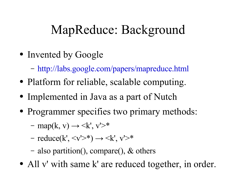# MapReduce: Background

- Invented by Google
	- http://labs.google.com/papers/mapreduce.html
- Platform for reliable, scalable computing.
- Implemented in Java as a part of Nutch
- Programmer specifies two primary methods:
	- $-$  map(k, v)  $\rightarrow \leq$ k', v' $\geq$ \*
	- $-$  reduce(k',  $\langle v \rangle^*$ )  $\rightarrow \langle k' \rangle, v' \rangle^*$
	- also partition(), compare(), & others
- All v' with same k' are reduced together, in order.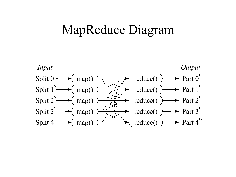#### MapReduce Diagram

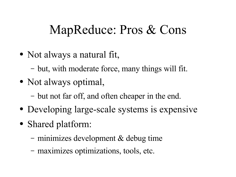### MapReduce: Pros & Cons

- Not always a natural fit,
	- but, with moderate force, many things will fit.
- Not always optimal,
	- but not far off, and often cheaper in the end.
- Developing large-scale systems is expensive
- Shared platform:
	- minimizes development & debug time
	- maximizes optimizations, tools, etc.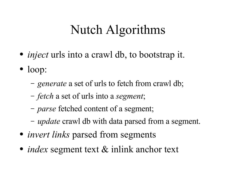## Nutch Algorithms

- *inject* urls into a crawl db, to bootstrap it.
- loop:
	- *generate* a set of urls to fetch from crawl db;
	- *fetch* a set of urls into a *segment*;
	- *parse* fetched content of a segment;
	- *update* crawl db with data parsed from a segment.
- *invert links* parsed from segments
- *index* segment text & inlink anchor text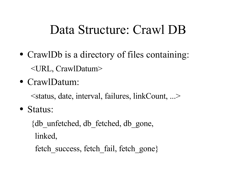#### Data Structure: Crawl DB

- CrawlDb is a directory of files containing: <URL, CrawlDatum>
- CrawlDatum:

<status, date, interval, failures, linkCount, ...>

• Status:

{db\_unfetched, db\_fetched, db\_gone, linked, fetch success, fetch fail, fetch gone}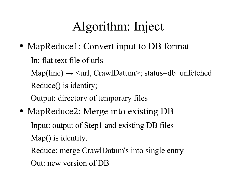# Algorithm: Inject

• MapReduce1: Convert input to DB format

In: flat text file of urls  $Map(line) \rightarrow \langle url, CrawlDatum \rangle$ ; status=db unfetched Reduce() is identity;

Output: directory of temporary files

• MapReduce2: Merge into existing DB Input: output of Step1 and existing DB files Map() is identity. Reduce: merge CrawlDatum's into single entry

Out: new version of DB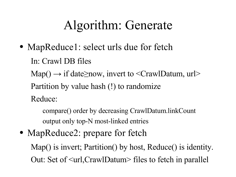### Algorithm: Generate

• MapReduce1: select urls due for fetch

In: Crawl DB files

Map()  $\rightarrow$  if date $\geq$ now, invert to <CrawlDatum, url>

Partition by value hash (!) to randomize

Reduce:

compare() order by decreasing CrawlDatum.linkCount output only top-N most-linked entries

• MapReduce2: prepare for fetch

Map() is invert; Partition() by host, Reduce() is identity. Out: Set of <url,CrawlDatum> files to fetch in parallel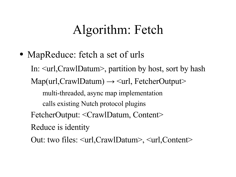### Algorithm: Fetch

• MapReduce: fetch a set of urls In: <url,CrawlDatum>, partition by host, sort by hash  $Map(url,Craw1Dataum) \rightarrow \leq url, FetcherOutput$ multi-threaded, async map implementation calls existing Nutch protocol plugins FetcherOutput: <CrawlDatum, Content> Reduce is identity Out: two files: <url,CrawlDatum>, <url,Content>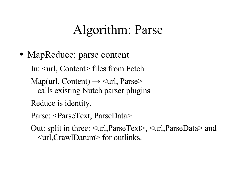### Algorithm: Parse

• MapReduce: parse content

In: <url, Content> files from Fetch

- Map(url, Content)  $\rightarrow$   $\langle$ url, Parse $\rangle$ calls existing Nutch parser plugins
- Reduce is identity.
- Parse: <ParseText, ParseData>
- Out: split in three: <url,ParseText>, <url,ParseData> and <url,CrawlDatum> for outlinks.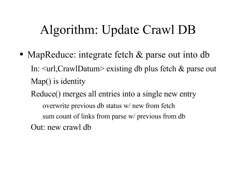## Algorithm: Update Crawl DB

• MapReduce: integrate fetch & parse out into db In: <url,CrawlDatum> existing db plus fetch & parse out Map() is identity

Reduce() merges all entries into a single new entry overwrite previous db status w/ new from fetch sum count of links from parse w/ previous from db Out: new crawl db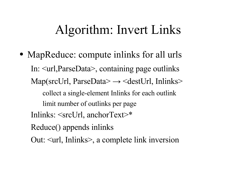#### Algorithm: Invert Links

• MapReduce: compute inlinks for all urls In: <url,ParseData>, containing page outlinks Map(srcUrl, ParseData $\rightarrow$   $\le$ destUrl, Inlinks $\ge$ collect a single-element Inlinks for each outlink limit number of outlinks per page Inlinks: <srcUrl, anchorText>\* Reduce() appends inlinks Out: <url, Inlinks>, a complete link inversion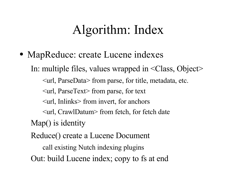### Algorithm: Index

• MapReduce: create Lucene indexes In: multiple files, values wrapped in <Class, Object> <url, ParseData> from parse, for title, metadata, etc. <url, ParseText> from parse, for text <url, Inlinks> from invert, for anchors <url, CrawlDatum> from fetch, for fetch date Map() is identity Reduce() create a Lucene Document

call existing Nutch indexing plugins

Out: build Lucene index; copy to fs at end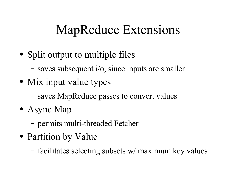## MapReduce Extensions

- Split output to multiple files
	- saves subsequent i/o, since inputs are smaller
- Mix input value types
	- saves MapReduce passes to convert values
- Async Map
	- permits multi-threaded Fetcher
- Partition by Value
	- facilitates selecting subsets w/ maximum key values